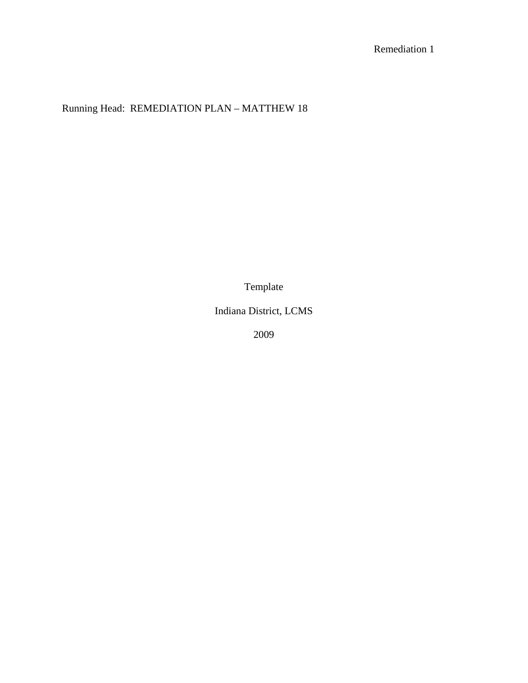# Running Head: REMEDIATION PLAN – MATTHEW 18

Template

Indiana District, LCMS

2009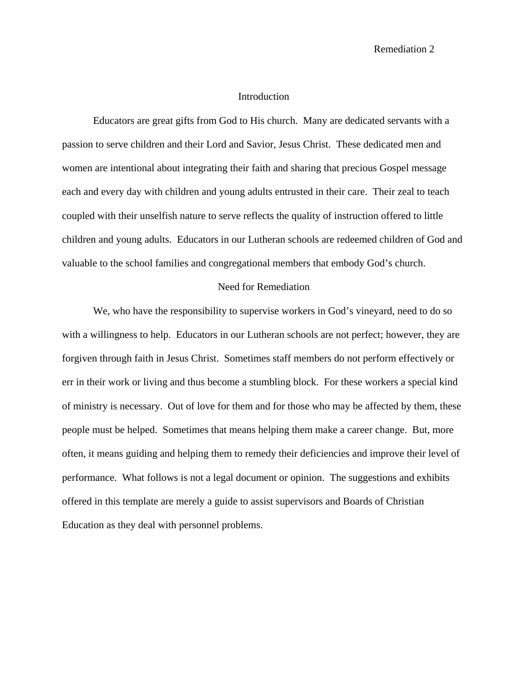Remediation 2

### Introduction

Educators are great gifts from God to His church. Many are dedicated servants with a passion to serve children and their Lord and Savior, Jesus Christ. These dedicated men and women are intentional about integrating their faith and sharing that precious Gospel message each and every day with children and young adults entrusted in their care. Their zeal to teach coupled with their unselfish nature to serve reflects the quality of instruction offered to little children and young adults. Educators in our Lutheran schools are redeemed children of God and valuable to the school families and congregational members that embody God's church.

#### Need for Remediation

We, who have the responsibility to supervise workers in God's vineyard, need to do so with a willingness to help. Educators in our Lutheran schools are not perfect; however, they are forgiven through faith in Jesus Christ. Sometimes staff members do not perform effectively or err in their work or living and thus become a stumbling block. For these workers a special kind of ministry is necessary. Out of love for them and for those who may be affected by them, these people must be helped. Sometimes that means helping them make a career change. But, more often, it means guiding and helping them to remedy their deficiencies and improve their level of performance. What follows is not a legal document or opinion. The suggestions and exhibits offered in this template are merely a guide to assist supervisors and Boards of Christian Education as they deal with personnel problems.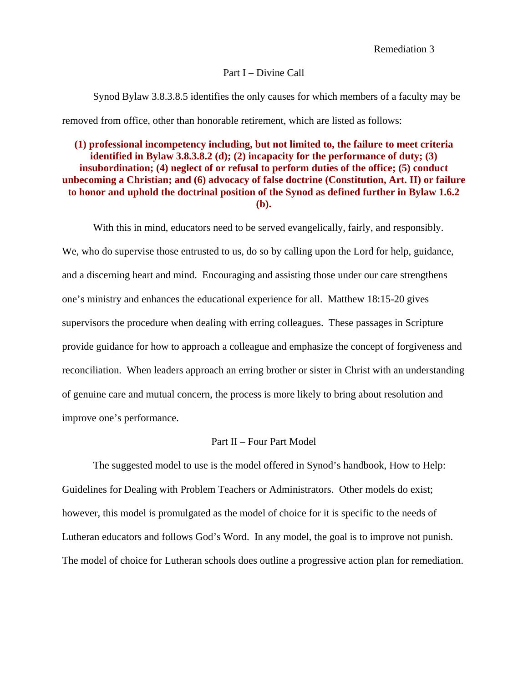#### Part I – Divine Call

Synod Bylaw 3.8.3.8.5 identifies the only causes for which members of a faculty may be removed from office, other than honorable retirement, which are listed as follows:

# **(1) professional incompetency including, but not limited to, the failure to meet criteria identified in Bylaw 3.8.3.8.2 (d); (2) incapacity for the performance of duty; (3) insubordination; (4) neglect of or refusal to perform duties of the office; (5) conduct unbecoming a Christian; and (6) advocacy of false doctrine (Constitution, Art. II) or failure to honor and uphold the doctrinal position of the Synod as defined further in Bylaw 1.6.2 (b).**

With this in mind, educators need to be served evangelically, fairly, and responsibly. We, who do supervise those entrusted to us, do so by calling upon the Lord for help, guidance, and a discerning heart and mind. Encouraging and assisting those under our care strengthens one's ministry and enhances the educational experience for all. Matthew 18:15-20 gives supervisors the procedure when dealing with erring colleagues. These passages in Scripture provide guidance for how to approach a colleague and emphasize the concept of forgiveness and reconciliation. When leaders approach an erring brother or sister in Christ with an understanding of genuine care and mutual concern, the process is more likely to bring about resolution and improve one's performance.

# Part II – Four Part Model

 The suggested model to use is the model offered in Synod's handbook, How to Help: Guidelines for Dealing with Problem Teachers or Administrators. Other models do exist; however, this model is promulgated as the model of choice for it is specific to the needs of Lutheran educators and follows God's Word. In any model, the goal is to improve not punish. The model of choice for Lutheran schools does outline a progressive action plan for remediation.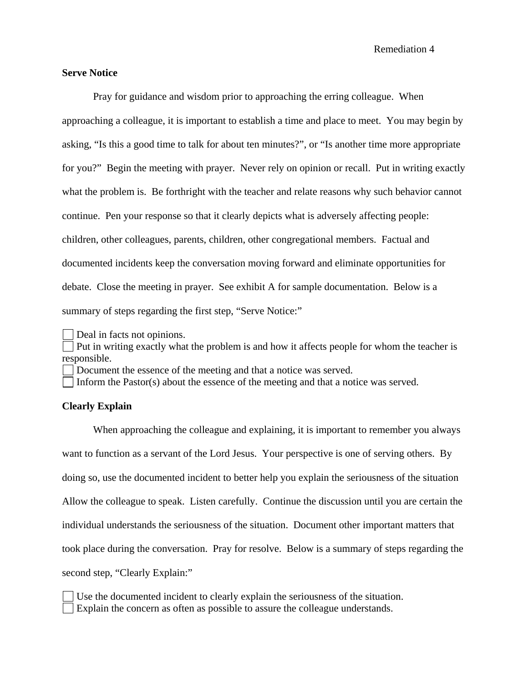# **Serve Notice**

 Pray for guidance and wisdom prior to approaching the erring colleague. When approaching a colleague, it is important to establish a time and place to meet. You may begin by asking, "Is this a good time to talk for about ten minutes?", or "Is another time more appropriate for you?" Begin the meeting with prayer. Never rely on opinion or recall. Put in writing exactly what the problem is. Be forthright with the teacher and relate reasons why such behavior cannot continue. Pen your response so that it clearly depicts what is adversely affecting people: children, other colleagues, parents, children, other congregational members. Factual and documented incidents keep the conversation moving forward and eliminate opportunities for debate. Close the meeting in prayer. See exhibit A for sample documentation. Below is a summary of steps regarding the first step, "Serve Notice:"

Deal in facts not opinions.

 Put in writing exactly what the problem is and how it affects people for whom the teacher is responsible.

Document the essence of the meeting and that a notice was served.

Inform the Pastor(s) about the essence of the meeting and that a notice was served.

### **Clearly Explain**

When approaching the colleague and explaining, it is important to remember you always want to function as a servant of the Lord Jesus. Your perspective is one of serving others. By doing so, use the documented incident to better help you explain the seriousness of the situation Allow the colleague to speak. Listen carefully. Continue the discussion until you are certain the individual understands the seriousness of the situation. Document other important matters that took place during the conversation. Pray for resolve. Below is a summary of steps regarding the second step, "Clearly Explain:"

 Use the documented incident to clearly explain the seriousness of the situation. Explain the concern as often as possible to assure the colleague understands.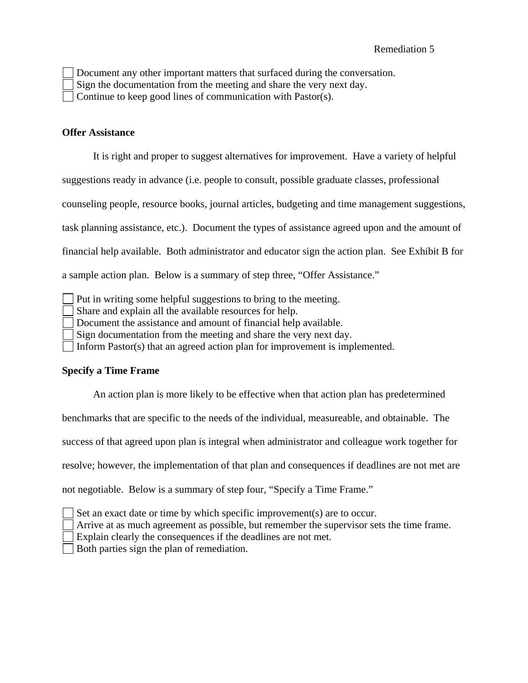Document any other important matters that surfaced during the conversation.

Sign the documentation from the meeting and share the very next day.

Continue to keep good lines of communication with Pastor(s).

### **Offer Assistance**

It is right and proper to suggest alternatives for improvement. Have a variety of helpful

suggestions ready in advance (i.e. people to consult, possible graduate classes, professional

counseling people, resource books, journal articles, budgeting and time management suggestions,

task planning assistance, etc.). Document the types of assistance agreed upon and the amount of

financial help available. Both administrator and educator sign the action plan. See Exhibit B for

a sample action plan. Below is a summary of step three, "Offer Assistance."

Put in writing some helpful suggestions to bring to the meeting.

Share and explain all the available resources for help.

Document the assistance and amount of financial help available.

Sign documentation from the meeting and share the very next day.

Inform Pastor(s) that an agreed action plan for improvement is implemented.

# **Specify a Time Frame**

An action plan is more likely to be effective when that action plan has predetermined

benchmarks that are specific to the needs of the individual, measureable, and obtainable. The

success of that agreed upon plan is integral when administrator and colleague work together for

resolve; however, the implementation of that plan and consequences if deadlines are not met are

not negotiable. Below is a summary of step four, "Specify a Time Frame."

|  |  | $\vert$ Set an exact date or time by which specific improvement(s) are to occur.                                                                                                                                                 |  |  |
|--|--|----------------------------------------------------------------------------------------------------------------------------------------------------------------------------------------------------------------------------------|--|--|
|  |  | $\mathbf{1}$ and the contract of the contract of the contract of the contract of the contract of the contract of the contract of the contract of the contract of the contract of the contract of the contract of the contract of |  |  |

Arrive at as much agreement as possible, but remember the supervisor sets the time frame.

Explain clearly the consequences if the deadlines are not met.

Both parties sign the plan of remediation.